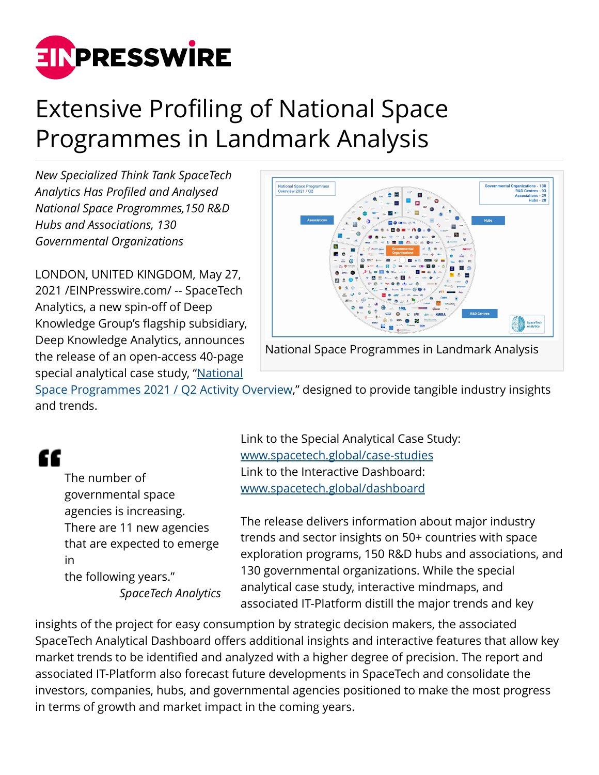

## Extensive Profiling of National Space Programmes in Landmark Analysis

*New Specialized Think Tank SpaceTech Analytics Has Profiled and Analysed National Space Programmes,150 R&D Hubs and Associations, 130 Governmental Organizations*

LONDON, UNITED KINGDOM, May 27, 2021 /[EINPresswire.com](http://www.einpresswire.com)/ -- SpaceTech Analytics, a new spin-off of Deep Knowledge Group's flagship subsidiary, Deep Knowledge Analytics, announces the release of an open-access 40-page special analytical case study, ["National](https://analytics.dkv.global/spacetech/National-Space-Programmes-2021-Report.pdf)



National Space Programmes in Landmark Analysis

[Space Programmes 2021 / Q2 Activity Overview](https://analytics.dkv.global/spacetech/National-Space-Programmes-2021-Report.pdf)," designed to provide tangible industry insights and trends.

## "

The number of governmental space agencies is increasing. There are 11 new agencies that are expected to emerge in the following years." *SpaceTech Analytics*

Link to the Special Analytical Case Study: [www.spacetech.global/case-studies](https://www.spacetech.global/case-studies) Link to the Interactive Dashboard: [www.spacetech.global/dashboard](https://www.spacetech.global/dashboard)

The release delivers information about major industry trends and sector insights on 50+ countries with space exploration programs, 150 R&D hubs and associations, and 130 governmental organizations. While the special analytical case study, interactive mindmaps, and associated IT-Platform distill the major trends and key

insights of the project for easy consumption by strategic decision makers, the associated SpaceTech Analytical Dashboard offers additional insights and interactive features that allow key market trends to be identified and analyzed with a higher degree of precision. The report and associated IT-Platform also forecast future developments in SpaceTech and consolidate the investors, companies, hubs, and governmental agencies positioned to make the most progress in terms of growth and market impact in the coming years.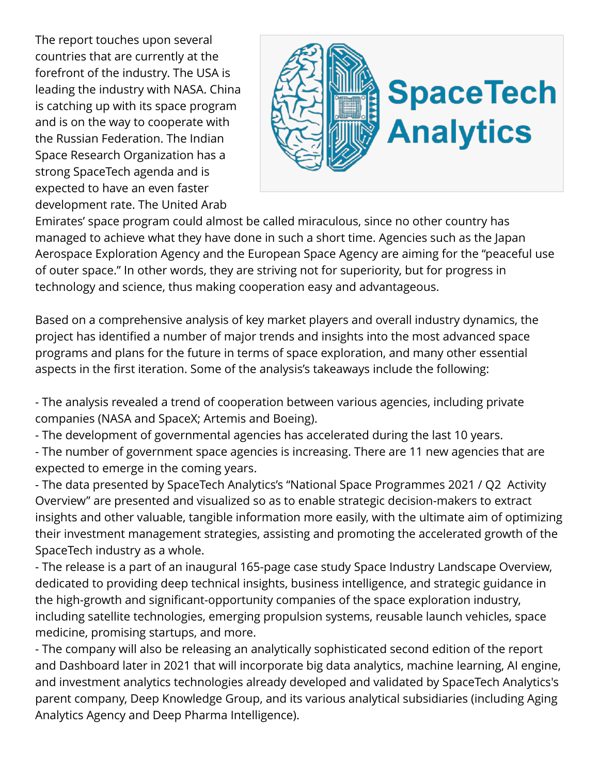The report touches upon several countries that are currently at the forefront of the industry. The USA is leading the industry with NASA. China is catching up with its space program and is on the way to cooperate with the Russian Federation. The Indian Space Research Organization has a strong SpaceTech agenda and is expected to have an even faster development rate. The United Arab



Emirates' space program could almost be called miraculous, since no other country has managed to achieve what they have done in such a short time. Agencies such as the Japan Aerospace Exploration Agency and the European Space Agency are aiming for the "peaceful use of outer space." In other words, they are striving not for superiority, but for progress in technology and science, thus making cooperation easy and advantageous.

Based on a comprehensive analysis of key market players and overall industry dynamics, the project has identified a number of major trends and insights into the most advanced space programs and plans for the future in terms of space exploration, and many other essential aspects in the first iteration. Some of the analysis's takeaways include the following:

- The analysis revealed a trend of cooperation between various agencies, including private companies (NASA and SpaceX; Artemis and Boeing).

- The development of governmental agencies has accelerated during the last 10 years.

- The number of government space agencies is increasing. There are 11 new agencies that are expected to emerge in the coming years.

- The data presented by SpaceTech Analytics's "National Space Programmes 2021 / Q2 Activity Overview" are presented and visualized so as to enable strategic decision-makers to extract insights and other valuable, tangible information more easily, with the ultimate aim of optimizing their investment management strategies, assisting and promoting the accelerated growth of the SpaceTech industry as a whole.

- The release is a part of an inaugural 165-page case study Space Industry Landscape Overview, dedicated to providing deep technical insights, business intelligence, and strategic guidance in the high-growth and significant-opportunity companies of the space exploration industry, including satellite technologies, emerging propulsion systems, reusable launch vehicles, space medicine, promising startups, and more.

- The company will also be releasing an analytically sophisticated second edition of the report and Dashboard later in 2021 that will incorporate big data analytics, machine learning, AI engine, and investment analytics technologies already developed and validated by SpaceTech Analytics's parent company, Deep Knowledge Group, and its various analytical subsidiaries (including Aging Analytics Agency and Deep Pharma Intelligence).